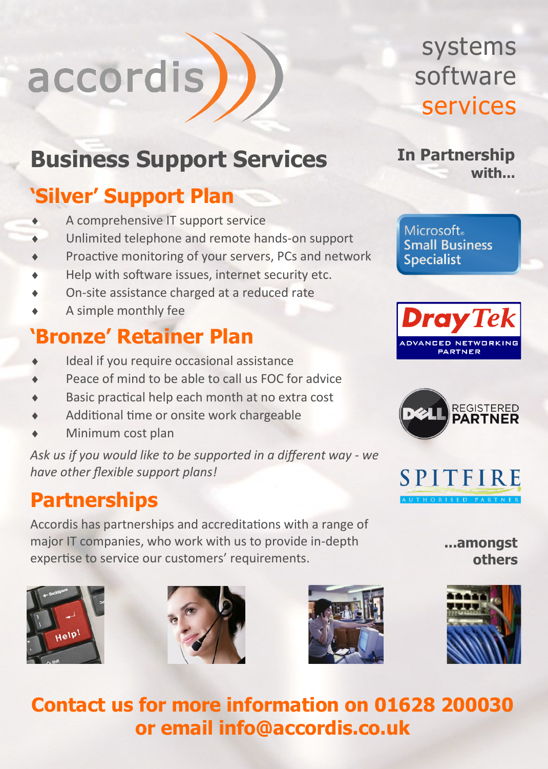# accordis

# **Business Support Services**

#### **'Silver' Support Plan**

- A comprehensive IT support service
- Unlimited telephone and remote hands-on support
- ◆ Proactive monitoring of your servers, PCs and network
- Help with software issues, internet security etc.
- On-site assistance charged at a reduced rate
- A simple monthly fee

#### **'Bronze' Retainer Plan**

- Ideal if you require occasional assistance
- Peace of mind to be able to call us FOC for advice
- Basic practical help each month at no extra cost
- Additional time or onsite work chargeable
- Minimum cost plan

*Ask us if you would like to be supported in a different way - we have other flexible support plans!*

#### **Partnerships**

Accordis has partnerships and accreditations with a range of major IT companies, who work with us to provide in-depth expertise to service our customers' requirements.







systems software services

**In Partnership with...**

Microsoft. **Small Business Specialist** 







**...amongst others**



**Contact us for more information on 01628 200030 or email info@accordis.co.uk**